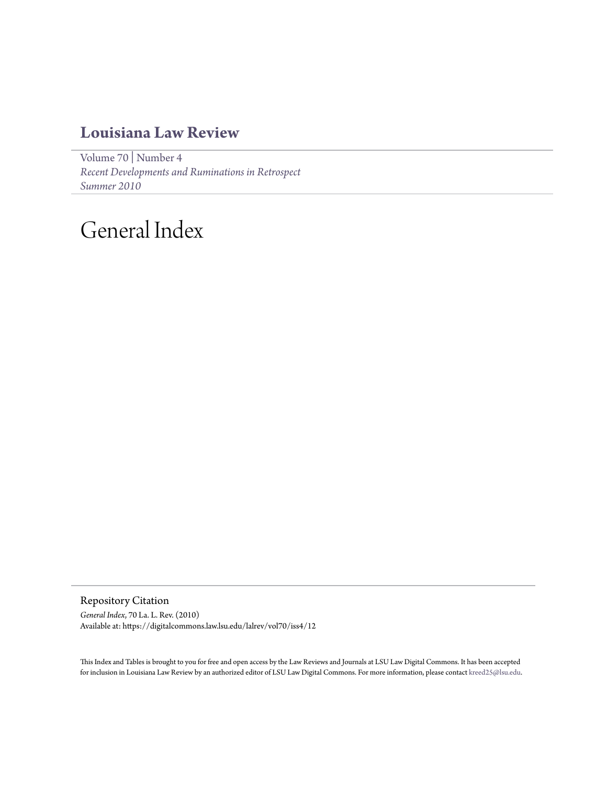## **[Louisiana Law Review](https://digitalcommons.law.lsu.edu/lalrev)**

[Volume 70](https://digitalcommons.law.lsu.edu/lalrev/vol70) | [Number 4](https://digitalcommons.law.lsu.edu/lalrev/vol70/iss4) *[Recent Developments and Ruminations in Retrospect](https://digitalcommons.law.lsu.edu/lalrev/vol70/iss4) [Summer 2010](https://digitalcommons.law.lsu.edu/lalrev/vol70/iss4)*

# General Index

Repository Citation *General Index*, 70 La. L. Rev. (2010) Available at: https://digitalcommons.law.lsu.edu/lalrev/vol70/iss4/12

This Index and Tables is brought to you for free and open access by the Law Reviews and Journals at LSU Law Digital Commons. It has been accepted for inclusion in Louisiana Law Review by an authorized editor of LSU Law Digital Commons. For more information, please contact [kreed25@lsu.edu](mailto:kreed25@lsu.edu).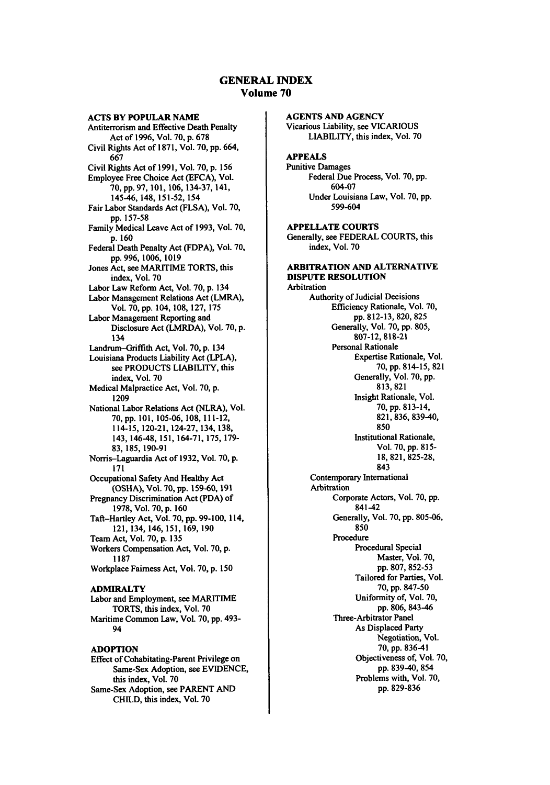#### **GENERAL** INDEX Volume **70**

**AGENTS AND AGENCY**

**ACTS** BY **POPULAR NAME** Antiterrorism and Effective Death Penalty Act of **1996,** Vol. **70, p. 678** Civil Rights Act of **1871,** Vol. **70,** pp. 664, **667** Civil Rights Act of **1991,** Vol. **70, p. 156** Employee Free Choice Act **(EFCA),** Vol. **70,** pp. **97,** 101,106, **134-37,** 141, 145-46, 148,151-52, 154 Fair Labor Standards Act **(FLSA),** Vol. **70,** pp. **157-58** Family Medical Leave Act of **1993,** Vol. **70, p. 160** Federal Death Penalty Act (FDPA), Vol. **70,** pp. 996, **1006, 1019** Jones Act, see MARITIME TORTS, this index, Vol. **70** Labor Law Reform Act, Vol. 70, p. 134 Labor Management Relations Act (LMRA), Vol. 70, pp. 104, 108, 127, 175 Labor Management Reporting and Disclosure Act (LMRDA), Vol. 70, p. 134 Landrum-Griffith Act, Vol. 70, p. 134 Louisiana Products Liability Act (LPLA), see PRODUCTS LIABILITY, this index, Vol. 70 Medical Malpractice Act, Vol. 70, p. 1209 National Labor Relations Act (NLRA), Vol. 70, pp. 101,105-06,108, 111-12, 114-15, 120-21,124-27,134,138, 143, 146-48, 151,164-71,175, 179- 83, 185, 190-91 Norris-Laguardia Act of **1932,** Vol. **70, p. 171** Occupational Safety And Healthy Act (OSHA), Vol. **70, pp.** 159-60, 191 Pregnancy Discrimination Act **(PDA)** of **1978,** Vol. **70, p. 160** Taft-Hartley Act, Vol. **70,** pp. **99-100,** 114, 121,134, 146, 151, 169, **190** Team Act, Vol. **70,** p. **135** Workers Compensation Act, Vol. **70,** p. **1187** Workplace Fairness Act, Vol. **70,** p. **150 ADNMRALTY** Labor and Employment, see MARITIME TORTS, this index, Vol. **70** Maritime Common Law, Vol. **70,** pp. 493- 94 **ADOPTION**

Effect of Cohabitating-Parent Privilege on Same-Sex Adoption, see **EVIDENCE,** this index, Vol. **70** Same-Sex Adoption, see PARENT **AND CHILD,** this index, Vol. **70**

Vicarious Liability, see **VICARIOUS** LIABILITY, this index, Vol. **70 APPEALS** Punitive Damages Federal Due Process, Vol. **70, pp.** 604-07 Under Louisiana Law, Vol. **70, pp. 599-604 APPELLATE COURTS** Generally, see FEDERAL COURTS, this index, Vol. **70 ARBITRATION AND ALTERNATIVE DISPUTE RESOLUTION** Arbitration Authority of Judicial Decisions Efficiency Rationale, Vol. **70, pp. 812-13, 820, 825** Generally, Vol. **70, pp. 805, 807-12,** 818-21 Personal Rationale Expertise Rationale, Vol. 70, pp. 814-15, 821 Generally, Vol. 70, pp. 813, 821 Insight Rationale, Vol. 70, pp. 813-14, 821, 836, 839-40, 850 Institutional Rationale, Vol. **70, pp.** 815- 18, 821,825-28, 843 Contemporary International Arbitration Corporate Actors, Vol. 70, pp. 841-42 Generally, Vol. 70, pp. 805-06, 850 Procedure Procedural Special Master, Vol. **70,** pp. 807, 852-53 Tailored for Parties, Vol. 70, pp. 847-50 Uniformity of, Vol. 70, pp. 806, 843-46 Three-Arbitrator Panel As Displaced Party Negotiation, Vol.

70, pp. 836-41 Objectiveness of, Vol. 70, pp. 839-40, 854 Problems with, Vol. 70, pp. 829-836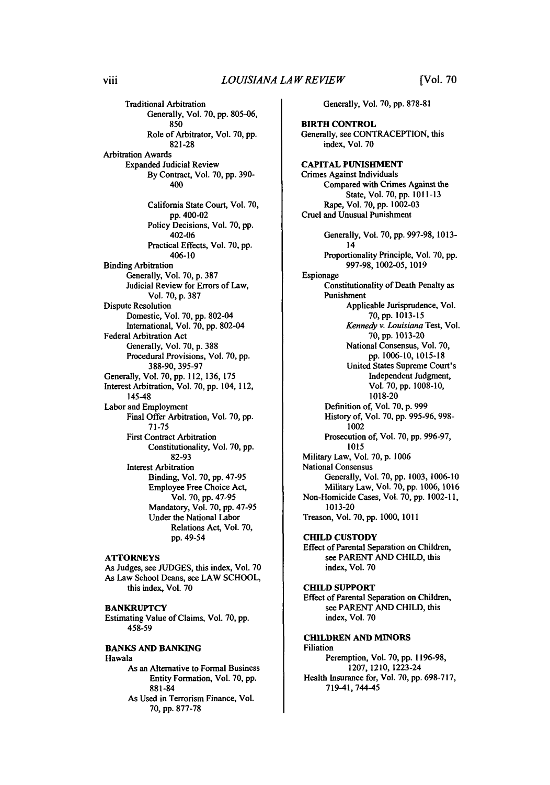Traditional Arbitration Generally, Vol. 70, pp. 805-06, 850 Role of Arbitrator, Vol. 70, pp. 821-28 Arbitration Awards Expanded Judicial Review By Contract, Vol. 70, pp. **390-** 400 California State Court, Vol. **70,** pp. 400-02 Policy Decisions, Vol. 70, pp. 402-06 Practical Effects, Vol. 70, pp. 406-10 Binding Arbitration Generally, Vol. 70, p. 387 Judicial Review for Errors of Law, Vol. 70, p. 387 Dispute Resolution Domestic, Vol. 70, pp. 802-04 International, Vol. 70, pp. 802-04 Federal Arbitration Act Generally, Vol. **70, p. 388** Procedural Provisions, Vol. **70, pp. 388-90, 395-97** Generally, Vol. **70, pp.** 112, **136, 175** Interest Arbitration, Vol. **70, pp.** 104, 112, 145-48 Labor and Employment Final Offer Arbitration, Vol. 70, pp. 71-75 First Contract Arbitration Constitutionality, Vol. 70, pp. 82-93 Interest Arbitration Binding, Vol. 70, pp. 47-95 Employee Free Choice Act, Vol. 70, pp. 47-95 Mandatory, Vol. 70, pp. 47-95 Under the National Labor Relations Act, Vol. 70, pp. 49-54

#### **ATTORNEYS**

As Judges, see JUDGES, this index, Vol. 70 As Law School Deans, see LAW SCHOOL, this index, Vol. 70

#### **BANKRUPTCY**

Estimating Value of Claims, Vol. 70, pp. 458-59

**BANKS AND BANKING** Hawala As an Alternative to Formal Business

Entity Formation, Vol. **70, pp. 881-84** As Used in Terrorism Finance, Vol.

**70,** pp. **877-78**

Generally, Vol. **70,** pp. 878-81

**BIRTH CONTROL** Generally, see **CONTRACEPTION,** this index, Vol. **70 CAPITAL PUNISHMENT** Crimes Against Individuals Compared with Crimes Against the State, Vol. 70, pp. 1011-13 Rape, Vol. 70, pp. 1002-03 Cruel and Unusual Punishment Generally, Vol. 70, pp. 997-98, 1013- 14 Proportionality Principle, Vol. 70, pp. 997-98, 1002-05, 1019 Espionage Constitutionality of Death Penalty as Punishment Applicable Jurisprudence, Vol. 70, pp. 1013-15 *Kennedy v. Louisiana* Test, Vol. 70, pp. 1013-20 National Consensus, Vol. 70, pp. 1006-10, 1015-18 United States Supreme Court's Independent Judgment, Vol. 70, pp. 1008-10, 1018-20 Definition of, Vol. 70, p. 999 History of, Vol. 70, pp. 995-96, 998- 1002 Prosecution of, Vol. 70, pp. 996-97, 1015 Military Law, Vol. 70, p. 1006 National Consensus Generally, Vol. 70, pp. 1003, 1006-10 Military Law, Vol. 70, pp. 1006, 1016 Non-Homicide Cases, Vol. 70, pp. 1002-11, 1013-20 Treason, Vol. 70, pp. 1000, 1011 **CHILD CUSTODY** Effect of Parental Separation on Children,

see PARENT AND CHILD, this index, Vol. 70

#### **CHILD SUPPORT**

Effect of Parental Separation on Children, see PARENT **AND** CHILD, this index, Vol. **70**

#### **CHILDREN AND MINORS** Filiation Peremption, Vol. 70, **pp.** 1196-98,

1207, 1210, 1223-24 Health Insurance for, Vol. 70, pp. 698-717, 719-41,744-45

viii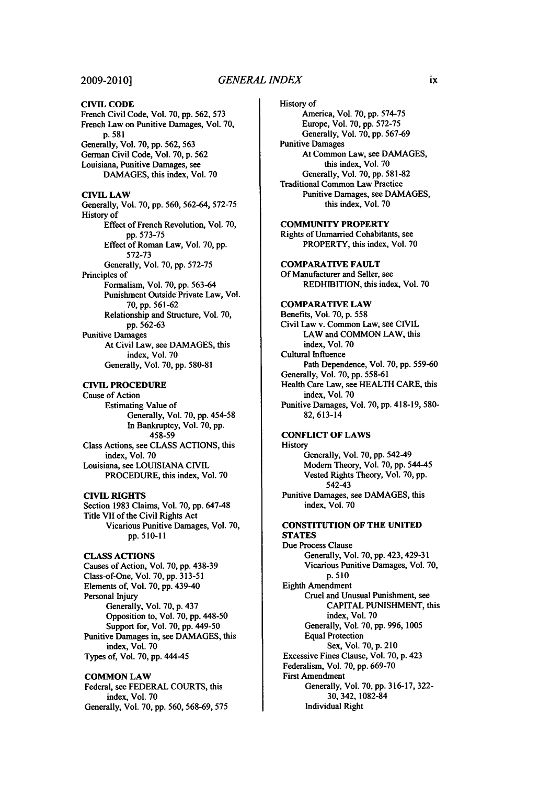#### **2009-20101**

#### **CIVIL CODE** French Civil Code, Vol. **70, pp.** 562, **573**

French Law on Punitive Damages, Vol. 70, **p. 581** Generally, Vol. **70, pp. 562, 563** German Civil Code, Vol. **70, p. 562** Louisiana, Punitive Damages, see **DAMAGES,** this index, Vol. **70**

#### **CIVIL LAW**

Generally, Vol. **70, pp. 560, 562-64, 572-75** History of Effect of French Revolution, Vol. **70, pp. 573-75** Effect of Roman Law, Vol. **70, pp. 572-73** Generally, Vol. **70, pp. 572-75** Principles of Formalism, Vol. **70, pp. 563-64** Punishment Outside Private Law, Vol. **70, pp. 561-62** Relationship and Structure, Vol. **70, pp. 562-63** Punitive Damages At Civil Law, see DAMAGES, this index, Vol. **70** Generally, Vol. 70, pp. 580-81

#### **CIVIL** PROCEDURE

Cause of Action Estimating Value **of** Generally, Vol. **70, pp.** 454-58 In Bankruptcy, Vol. **70, pp. 458-59** Class Actions, see **CLASS ACTIONS,** this index, Vol. **70** Louisiana, see **LOUISIANA** CIVIL PROCEDURE, this index, Vol. **70**

#### **CIVIL RIGHTS**

Section **1983** Claims, Vol. **70, pp.** 647-48 Title VII of the Civil Rights Act Vicarious Punitive Damages, Vol. **70, pp. <sup>5</sup> <sup>10</sup> -11**

#### **CLASS ACTIONS**

Causes of Action, Vol. **70, pp. 438-39** Class-of-One, Vol. **70, pp. 313-51** Elements of, Vol. **70, pp.** 439-40 Personal Injury Generally, Vol. 70, p. 437 Opposition to, Vol. 70, pp. 448-50 Support for, Vol. **70, pp.** 449-50 Punitive Damages in, see DAMAGES, this index, Vol. 70 Types of, Vol. **70,** pp. 444-45

#### **COMMON** LAW

Federal, **see** FEDERAL **COURTS,** this index, Vol. 70 Generally, Vol. **70, pp. 560, 568-69, 575** History of America, Vol. **70, pp. 574-75** Europe, Vol. **70, pp. 572-75** Generally, Vol. **70, pp. 567-69** Punitive Damages At Common Law, see **DAMAGES,** this index, Vol. **70** Generally, Vol. **70, pp. 581-82** Traditional Common Law Practice Punitive Damages, see **DAMAGES,** this index, Vol. **70**

COMMUNITY PROPERTY Rights of Unmarried Cohabitants, see PROPERTY, this index, Vol. **70**

**COMPARATIVE FAULT Of** Manufacturer and Seller, see REDHIBITION, this index, Vol. **70**

#### **COMPARATIVE LAW** Benefits, Vol. **70, p. 558** Civil Law v. Common Law, see **CIVIL** LAW and **COMMON** LAW, this index, Vol. **70** Cultural Influence

Path Dependence, Vol. **70, pp. 559-60** Generally, Vol. **70, pp. 558-61** Health Care Law, see HEALTH CARE, this index, Vol. **70**

Punitive Damages, Vol. **70, pp.** 418-19, **580- 82, 613-14**

#### **CONFLICT** OF LAWS

**History** Generally, Vol. **70, pp.** 54249 Modem Theory, Vol. **70, pp.** 544-45 Vested Rights Theory, Vol. **70, pp.** 542-43 Punitive Damages, see DAMAGES, this

index, Vol. **70**

#### **CONSTITUTION OF THE UNITED STATES**

Due Process Clause Generally, Vol. **70,** pp. 423,429-31 Vicarious Punitive Damages, Vol. 70, p. **510** Eighth Amendment Cruel and Unusual Punishment, see CAPITAL **PUNISHMENT,** this index, Vol. 70 Generally, Vol. 70, pp. 996, 1005 Equal Protection Sex, Vol. 70, p. 210 Excessive Fines Clause, Vol. **70,** p. 423 Federalism, Vol. **70,** pp. 669-70 First Amendment Generally, Vol. **70, pp. 316-17, 322-** 30, 342, **1082-84** Individual Right

ix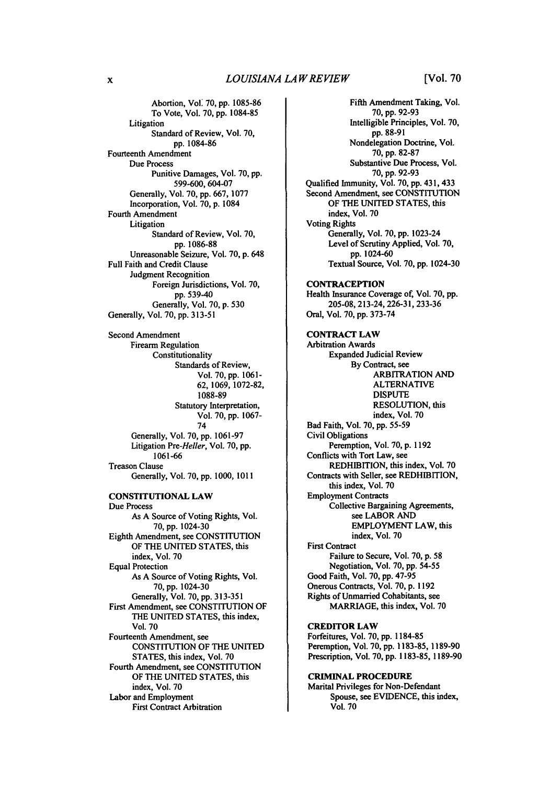#### *LOUISIANA LAW REVIEW*

Abortion, Vol' **70,** pp. 1085-86 To Vote, Vol. **70,** pp. 1084-85 Litigation Standard of Review, Vol. **70,** pp. 1084-86 Fourteenth Amendment Due Process Punitive Damages, Vol. **70, pp. 599-600,** 604-07 Generally, Vol. **70, pp. 667, 1077** Incorporation, Vol. **70, p.** 1084 Fourth Amendment Litigation Standard of Review, Vol. **70, pp. 1086-88** Unreasonable Seizure, Vol. **70, p.** 648 Full Faith and Credit Clause Judgment Recognition Foreign Jurisdictions, Vol. 70, pp. 539-40 Generally, Vol. 70, p. 530 Generally, Vol. 70, pp. 313-51 Second Amendment Firearm Regulation Constitutionality Standards of Review, Vol. **70, pp. 1061- 62, 1069, 1072-82, 1088-89** Statutory Interpretation, Vol. **70, pp.** 1067- 74 Generally, Vol. 70, pp. 1061-97 Litigation *Pre-Heller,* Vol. 70, pp. **1061-66** Treason Clause Generally, Vol. 70, **pp.** 1000, **1011** CONSTITUTIONAL LAW Due Process As A Source of Voting Rights, Vol. **70, pp.** 1024-30 Eighth Amendment, see CONSTITUTION OF THE UNITED STATES, this index, Vol. **70** Equal Protection As A Source of Voting Rights, Vol. **70, pp.** 1024-30 Generally, Vol. **70, pp. 313-351** First Amendment, see CONSTITUTION OF THE UNITED STATES, this index, Vol. 70 Fourteenth Amendment, see CONSTITUTION OF THE UNITED STATES, this index, Vol. **70** Fourth Amendment, see CONSTITUTION OF THE UNITED STATES, this index, Vol. 70 Labor and Employment First Contract Arbitration

Fifth Amendment Taking, Vol. **70, pp. 92-93** Intelligible Principles, Vol. **70,** pp. **88-91** Nondelegation Doctrine, Vol. **70,** pp. **82-87** Substantive Due Process, Vol. **70,** pp. 92-93 Qualified Immunity, Vol. **70,** pp. 431, 433 Second Amendment, see CONSTITUTION OF THE UNITED STATES, this index, Vol. **70** Voting Rights Generally, Vol. 70, **pp.** 1023-24 Level of Scrutiny Applied, Vol. **70, pp.** 1024-60 Textual Source, Vol. **70,** pp. 1024-30 **CONTRACEPTION** Health Insurance Coverage of, Vol. **70, pp.** 205-08, 213-24, **226-31, 233-36** Oral, Vol. 70, pp. **373-74** CONTRACT LAW Arbitration Awards Expanded Judicial Review **By** Contract, see ARBITRATION AND ALTERNATIVE DISPUTE RESOLUTION, this index, Vol. **70** Bad Faith, Vol. **70,** pp. **55-59** Civil Obligations Peremption, Vol. **70, p. 1192** Conflicts with Tort Law, see REDHIBITION, this index, Vol. **70** Contracts with Seller, see REDHIBITION, this index, Vol. **70** Employment Contracts Collective Bargaining Agreements, see LABOR AND EMPLOYMENT LAW, this index, Vol. 70 First Contract Failure to Secure, Vol. **70, p. 58** Negotiation, Vol. **70,** pp. 54-55 Good Faith, Vol. 70, **pp.** 47-95 Onerous Contracts, Vol. 70, p. 1192 Rights of Unmarried Cohabitants, see MARRIAGE, this index, Vol. **70** CREDITOR LAW Forfeitures, Vol. **70, pp. 1184-85** Peremption, Vol. **70,** pp. **1183-85, 1189-90** Prescription, Vol. **70,** pp. **1183-85,** 1189-90 **CRIMINAL** PROCEDURE

Marital Privileges for Non-Defendant Spouse, see EVIDENCE, this index, Vol. **70**

 $\mathbf{x}$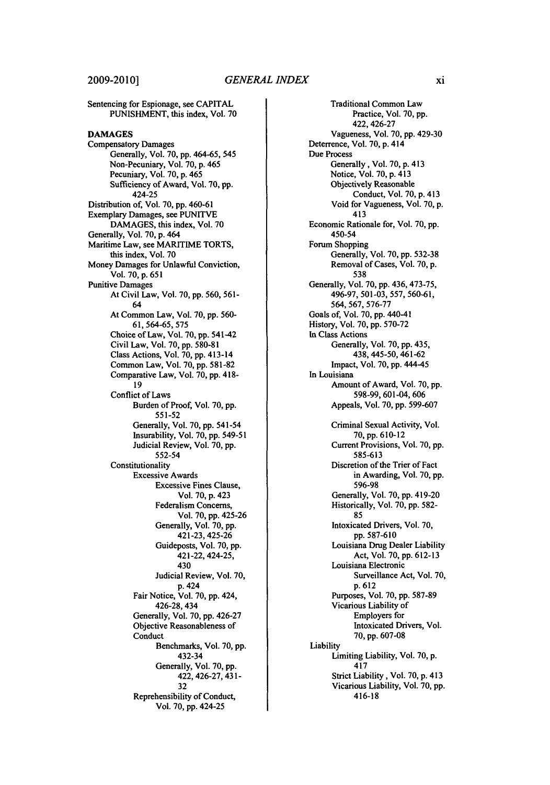Sentencing for Espionage, see CAPITAL PUNISHMENT, this index, Vol. **70 DAMAGES** Compensatory Damages Generally, Vol. 70, pp. 464-65, 545 Non-Pecuniary, Vol. 70, p. 465 Pecuniary, Vol. 70, p. 465 Sufficiency of Award, Vol. 70, pp. 424-25 Distribution of, Vol. 70, pp. 460-61 Exemplary Damages, see PUNITVE DAMAGES, this index, Vol. 70 Generally, Vol. 70, p. 464 Maritime Law, see MARITIME TORTS, this index, Vol. 70 Money Damages for Unlawful Conviction, Vol. 70, p. 651 Punitive Damages At Civil Law, Vol. 70, pp. 560, 561- 64 At Common Law, Vol. 70, pp. 560- 61, 564-65, 575 Choice of Law, Vol. **70, pp.** 541-42 Civil Law, Vol. 70, pp. 580-81 Class Actions, Vol. 70, pp. <sup>4</sup> <sup>13</sup> - 1 4 Common Law, Vol. 70, pp. 581-82 Comparative Law, Vol. 70, pp. 418- 19 Conflict of Laws Burden of Proof, Vol. 70, pp. 551-52 Generally, Vol. 70, pp. 541-54 Insurability, Vol. 70, pp. 549-51 Judicial Review, Vol. 70, pp. 552-54 **Constitutionality** Excessive Awards Excessive Fines Clause, Vol. 70, p. 423 Federalism Concerns, Vol. 70, pp. 425-26 Generally, Vol. 70, pp. 421-23, 425-26 Guideposts, Vol. 70, pp. 421-22, 424-25, 430 Judicial Review, Vol. 70, p. 424 Fair Notice, Vol. 70, pp. 424, 426-28, 434 Generally, Vol. 70, pp. 426-27 Objective Reasonableness of Conduct Benchmarks, Vol. 70, pp. 432-34 Generally, Vol. 70, pp. 422,426-27, 431- 32 Reprehensibility of Conduct, Vol. 70, pp. 424-25

Traditional Common Law Practice, Vol. 70, pp. 422,426-27 Vagueness, Vol. 70, pp. 429-30 Deterrence, Vol. 70, p. 414 Due Process Generally, Vol. 70, p. 413 Notice, Vol. 70, p. 413 Objectively Reasonable Conduct, Vol. 70, p. 413 Void for Vagueness, Vol. 70, p. 413 Economic Rationale for, Vol. 70, pp. 450-54 Forum Shopping Generally, Vol. 70, pp. 532-38 Removal of Cases, Vol. 70, p. 538 Generally, Vol. 70, pp. 436, 473-75, 496-97, 501-03, 557, 560-61, 564, 567, 576-77 Goals of, Vol. 70, pp. 440-41 History, Vol. 70, **pp.** 570-72 In Class Actions Generally, Vol. 70, pp. 435, 438, 445-50,461-62 Impact, Vol. 70, pp. 444-45 In Louisiana Amount of Award, Vol. 70, pp. 598-99, 601-04, 606 Appeals, Vol. 70, pp. 599-607 Criminal Sexual Activity, Vol. 70, pp. 610- <sup>12</sup> Current Provisions, Vol. 70, pp. 585-613 Discretion of the Trier of Fact in Awarding, Vol. 70, pp. 596-98 Generally, Vol. 70, pp. 419-20 Historically, Vol. 70, pp. 582- 85 Intoxicated Drivers, Vol. 70, pp. 587-610 Louisiana Drug Dealer Liability Act, Vol. 70, pp. 612-13 Louisiana Electronic Surveillance Act, Vol. 70, p. 612 Purposes, Vol. 70, pp. 587-89 Vicarious Liability of Employers for Intoxicated Drivers, Vol. montence = -<br>70, pp. 607-08 Liability Limiting Liability, Vol. 70, p. 417 Strict Liability, Vol. 70, p. 413 Vicarious Liability, Vol. 70, pp. 416-18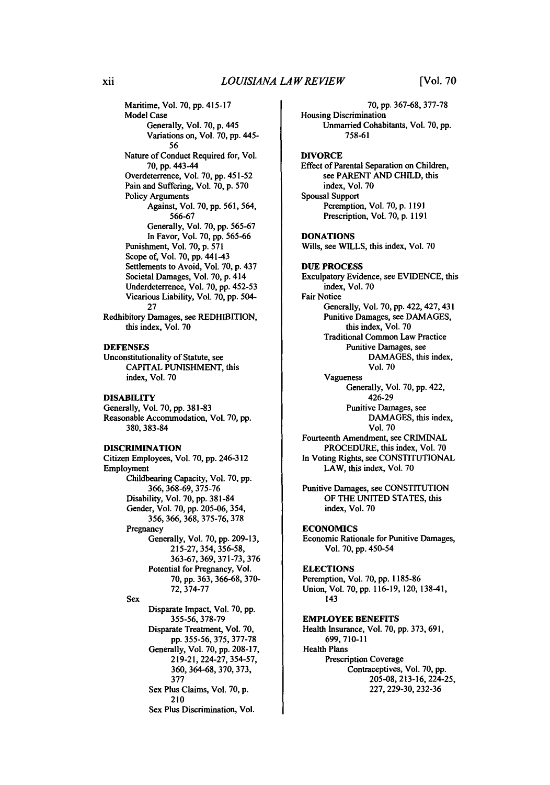Maritime, Vol. **70, pp.** 415-17 Model Case Generally, Vol. **70, p.** 445 Variations on, Vol. 70, pp. 445- 56 Nature of Conduct Required for, Vol. **70,** pp. 443-44 Overdeterrence, Vol. **70, pp.** 451-52 Pain and Suffering, Vol. 70, p. 570 Policy Arguments Against, Vol. 70, pp. 561, 564, 566-67 Generally, Vol. 70, pp. 565-67 In Favor, Vol. 70, pp. 565-66 Punishment, Vol. 70, p. 571 Scope of, Vol. 70, pp. 441-43 Settlements to Avoid, Vol. 70, p. 437 Societal Damages, Vol. 70, p. 414 Underdeterrence, Vol. 70, pp. 452-53 Vicarious Liability, Vol. 70, pp. 504- 27 Redhibitory Damages, see REDHIBITION, this index, Vol. 70

#### **DEFENSES**

Unconstitutionality of Statute, see CAPITAL PUNISHMENT, this index, Vol. 70

#### **DISABILITY**

Generally, Vol. **70, pp. 381-83** Reasonable Accommodation, Vol. **70, pp. 380, 383-84**

#### DISCRIMINATION

Citizen Employees, Vol. **70, pp.** 246-312 Employment Childbearing Capacity, Vol. **70, pp.** 366, 368-69, **375-76** Disability, Vol. **70,** pp. 381-84 Gender, Vol. **70,** pp. 205-06, 354, **356, 366, 368, 375-76, 378** Pregnancy Generally, Vol. 70, pp. **209-13, 215-27,** 354, 356-58, **363-67,** 369, **371-73, 376** Potential for Pregnancy, Vol. **70,** pp. **363,** 366-68, **370- 72, 374-77 Sex** Disparate Impact, Vol. 70, **pp.** 355-56, **378-79** Disparate Treatment, Vol. **70,** pp. 355-56, 375, 377-78 Generally, Vol. 70, pp. 208-17, 219-21, 224-27, 354-57, 360, 364-68, 370, 373, 377 Sex Plus Claims, Vol. 70, p. 210 Sex Plus Discrimination, Vol.

**70, pp.** 367-68, 377-78 Housing Discrimination Unmarried Cohabitants, Vol. **70, pp.** 758-61 DIVORCE Effect of Parental Separation on Children, see PARENT AND CHILD, this index, Vol. **70** Spousal Support Peremption, Vol. 70, p. **1191** Prescription, Vol. **70,** p. **1191 DONATIONS** Wills, see WILLS, this index, Vol. 70 **DUE PROCESS** Exculpatory Evidence, see EVIDENCE, this index, Vol. 70 Fair Notice Generally, Vol. 70, pp. 422, 427, 431 Punitive Damages, see DAMAGES, this index, Vol. 70 Traditional Common Law Practice Punitive Damages, see DAMAGES, this index, Vol. 70 Vagueness Generally, Vol. 70, pp. 422, 426-29 Punitive Damages, see DAMAGES, this index, Vol. 70 Fourteenth Amendment, see CRIMINAL PROCEDURE, this index, Vol. 70 In Voting Rights, see CONSTITUTIONAL LAW, this index, Vol. 70 Punitive Damages, see CONSTITUTION OF THE UNITED STATES, this index, Vol. **70 ECONOMICS** Economic Rationale for Punitive Damages, Vol. 70, **pp.** 450-54 **ELECTIONS** Peremption, Vol. **70, pp. 1185-86** Union, Vol. **70,** pp. 116-19, 120, 138-41, 143 **EMPLOYEE BENEFITS** Health Insurance, Vol. 70, pp. **373,** 691, 699, **710-11**

Health Plans Prescription Coverage Contraceptives, Vol. **70,** pp. 205-08, **213-16,** 224-25, **227,** 229-30, **232-36**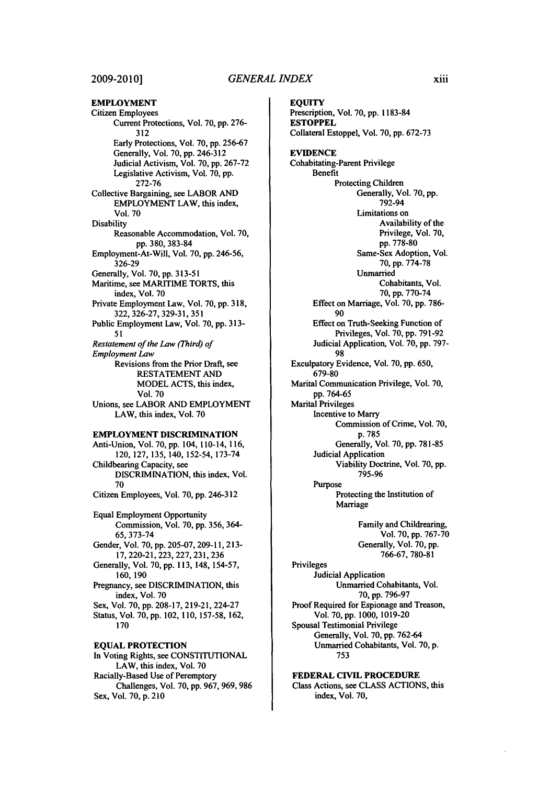**EMPLOYMENT** Citizen Employees Current Protections, Vol. **70, pp. 276- 312** Early Protections, Vol. **70, pp. 256-67** Generally, Vol. **70, pp.** 246-312 Judicial Activism, Vol. **70, pp.** 267-72 Legislative Activism, Vol. **70, pp.** 272-76 Collective Bargaining, see LABOR **AND** EMPLOYMENT LAW, this index, Vol. **70 Disability** Reasonable Accommodation, Vol. **70, pp. 380, 383-84** Employment-At-Will, Vol. **70, pp. 246-56, 326-29** Generally, Vol. **70, pp. 313-51** Maritime, see MARITIME TORTS, this index, Vol. **70** Private Employment Law, Vol. **70, pp. 318, 322, 326-27, 329-31, 351** Public Employment Law, Vol. **70, pp. 313- 51** *Restatement of the Law (Third) of Employment Law* Revisions from the Prior Draft, see RESTATEMENT AND MODEL ACTS, this index, Vol. 70 Unions, see LABOR AND EMPLOYMENT LAW, this index, Vol. 70 **EMPLOYMENT DISCRIMINATION** Anti-Union, Vol. **70, pp.** 104, 110-14, 116, 120, **127,** 135, 140, 152-54, **173-74** Childbearing Capacity, see DISCRIMINATION, this index, Vol. 70 Citizen Employees, Vol. 70, pp. 246-312 Equal Employment Opportunity Commission, Vol. 70, pp. 356, 364- 65, 373-74 Gender, Vol. 70, pp. 205-07, 209-11, 213- 17, 220-21, 223, 227, 231, 236 Generally, Vol. 70, pp. 113, 148, 154-57, 160, 190 Pregnancy, see DISCRIMINATION, this index, Vol. 70 Sex, Vol. 70, pp. 208-17, 219-21, 224-27 Status, Vol. 70, pp. 102, 110, 157-58, 162, 170 **EQUAL PROTECTION** In Voting Rights, see CONSTITUTIONAL LAW, this index, Vol. 70 Racially-Based Use of Peremptory Challenges, Vol. 70, pp. 967, 969, 986

Sex, Vol. 70, p. 2<sup>10</sup>

**EQUITY** Prescription, Vol. 70, **pp. 1183-84 ESTOPPEL** Collateral Estoppel, Vol. **70, pp. 672-73 EVIDENCE** Cohabitating-Parent Privilege Benefit Protecting Children Generally, Vol. **70, pp.** 792-94 Limitations on Availability of the Privilege, Vol. **70,** pp. **778-80** Same-Sex Adoption, Vol. **70,** pp. **774-78** Unmarried Cohabitants, Vol. 70, pp. 770-74 Effect on Marriage, Vol. 70, pp. 786- 90 Effect on Truth-Seeking Function of Privileges, Vol. 70, pp. 791-92 Judicial Application, Vol. 70, pp. 797- 98 Exculpatory Evidence, Vol. 70, pp. 650, 679-80 Marital Communication Privilege, Vol. 70, pp. 764-65 Marital Privileges Incentive to Marry Commission of Crime, Vol. 70, p. 785 Generally, Vol. 70, pp. 781-85 Judicial Application Viability Doctrine, Vol. 70, pp. 795-96 Purpose Protecting the Institution of Marriage Family and Childrearing, Vol. 70, pp. 767-70 Generally, Vol. 70, pp. 766-67, 780-81 Privileges Judicial Application Unmarried Cohabitants, Vol. 70, pp. 796-97 Proof Required for Espionage and Treason, Vol. 70, pp. 1000, 1019-20 Spousal Testimonial Privilege Generally, Vol. 70, pp. 762-64 Unmarried Cohabitants, Vol. 70, p. 753

**FEDERAL CIVIL PROCEDURE** Class Actions, see **CLASS ACTIONS,** this index, **Vol. 70,**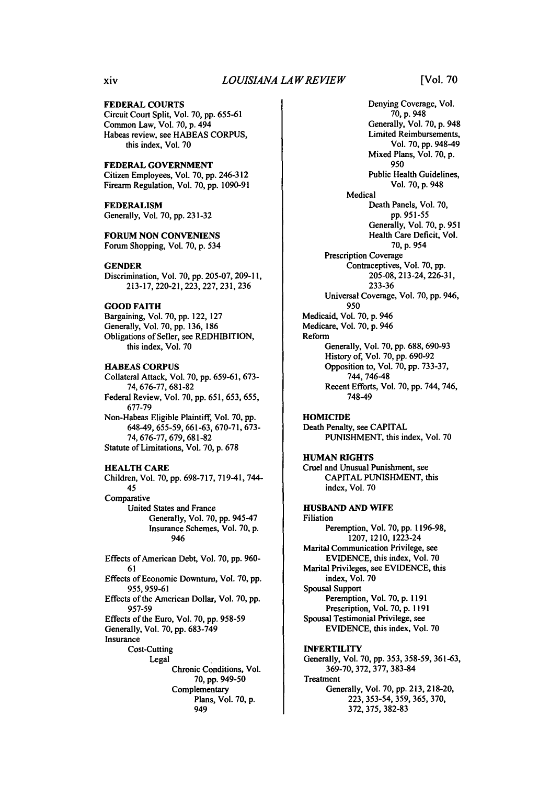#### FEDERAL **COURTS**

Circuit Court Split, Vol. **70, pp.** 655-61 Common Law, Vol. **70, p.** 494 Habeas review, see **HABEAS CORPUS,** this index, Vol. **70**

#### FEDERAL **GOVERNMENT**

Citizen Employees, Vol. **70, pp.** 246-312 Firearm Regulation, Vol. **70, pp. 1090-91**

#### FEDERALISM Generally, Vol. **70, pp. 231-32**

#### **FORUM NON CONVENENS**

Forum Shopping, Vol. **70, p.** 534

#### **GENDER**

Discrimination, Vol. **70, pp. 205-07, 209-11, 213-17,** 220-21, **223, 227, 231, 236**

#### **GOOD FAITH**

Bargaining, Vol. **70, pp.** 122, **127** Generally, Vol. **70, pp. 136, 186** Obligations of Seller, see REDHIBITION, this index, Vol. **70**

#### **HABEAS CORPUS**

Collateral Attack, Vol. **70, pp. 659-61, 673-** 74, **676-77, 681-82** Federal Review, Vol. **70, pp. 651, 653,** 655, **677-79** Non-Habeas Eligible Plaintiff, Vol. **70, pp.** 648-49, 655-59, **661-63, 670-71, 673-** 74, **676-77,** 679, **681-82** Statute of Limitations, Vol. **70, p. 678**

#### **HEALTH CARE**

Children, Vol. **70, pp. 698-717,** 719-41, 744- 45 Comparative United States and France Generally, Vol. **70, pp.** 945-47 Insurance Schemes, Vol. 70, p. 946

Effects of American Debt, Vol. 70, pp. 960- 61 Effects of Economic Downturn, Vol. 70, pp. 955, 959-61 Effects of the American Dollar, Vol. **70, pp.** 957-59 Effects of the Euro, Vol. 70, pp. 958-59 Generally, Vol. 70, pp. 683-749 Insurance Cost-Cutting Legal Chronic Conditions, Vol. **70,** pp. 949-50 Complementary Plans, Vol. 70, p. 949

Denying Coverage, Vol. **70, p.** 948 Generally, Vol. **70,** p. 948 Limited Reimbursements, Vol. **70, pp.** 948-49 Mixed Plans, Vol. **70, p.** 950 Public Health Guidelines, Vol. **70, p.** 948 Medical Death Panels, Vol. **70, pp.** 951-55 Generally, Vol. 70, p. 951 Health Care Deficit, Vol. 70, p. 954 Prescription Coverage Contraceptives, Vol. 70, pp. 205-08, 213-24, 226-3 **1,** 233-36 Universal Coverage, Vol. 70, pp. 946, 950 Medicaid, Vol. 70, p. 946 Medicare, Vol. 70, p. 946 Reform Generally, Vol. 70, pp. 688, 690-93 History of, Vol. 70, pp. 690-92 Opposition to, Vol. 70, pp. 733-37, 744, 746-48 Recent Efforts, Vol. 70, pp. 744, 746, 748-49 **HOMICIDE** Death Penalty, see CAPITAL

PUNISHMENT, this index, Vol. **70**

#### **HUMAN RIGHTS** Cruel and Unusual Punishment, see CAPITAL PUNISHMENT, this index, Vol. 70

**HUSBAND AND WIFE** Filiation Peremption, Vol. **70, pp. 1196-98, 1207,** 1210, 1223-24 Marital Communication Privilege, see EVIDENCE, this index, Vol. **70** Marital Privileges, see EVIDENCE, this index, Vol. 70 Spousal Support Peremption, Vol. 70, p. 1191 Prescription, Vol. 70, p. 1191 Spousal Testimonial Privilege, see EVIDENCE, this index, Vol. 70 **INFERTILITY** Generally, Vol. 70, pp. 353, 358-59, 361-63, 369-70, 372, 377, 383-84 **Treatment** 

Generally, Vol. 70, pp. 213, 218-20, 223, 353-54, 359, 365, 370, 372, 375, 382-83

xiv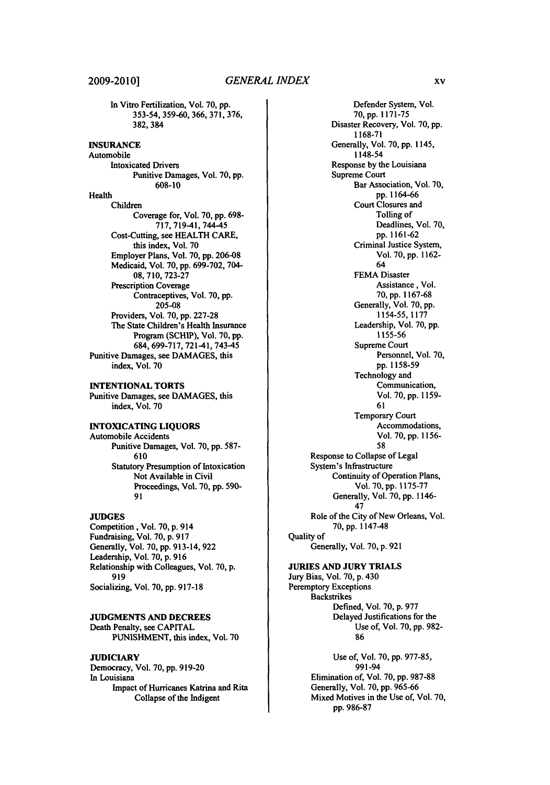#### **2009-2010]**

In Vitro Fertilization, Vol. **70,** pp. 353-54, 359-60, 366, 371, 376, 382,384

**INSURANCE** Automobile Intoxicated Drivers Punitive Damages, Vol. **70, pp. 608-10** Health Children Coverage for, Vol. **70, pp. 698-** 717,719-41,744-45 Cost-Cutting, see HEALTH CARE, this index, Vol. **70** Employer Plans, Vol. **70, pp. 206-08** Medicaid, Vol. **70, pp. 699-702,** 704- **08, 710, 723-27** Prescription Coverage Contraceptives, Vol. **70, pp. 205-08** Providers, Vol. 70, pp. 227-28 The State Children's Health Insurance Program (SCHIP), Vol. **70, pp.** 684, 699-717, 721-41,743-45 Punitive Damages, see DAMAGES, this index, Vol. 70

#### INTENTIONAL TORTS

Punitive Damages, see **DAMAGES,** this index, Vol. **70**

**INTOXICATING LIQUORS** Automobile Accidents Punitive Damages, Vol. **70, pp. 587- 610** Statutory Presumption of Intoxication Not Available in Civil Proceedings, Vol. **70, pp. 590-** 91

#### **JUDGES**

Competition, Vol. **70,** p. 914 Fundraising, Vol. 70, p. **917** Generally, Vol. 70, pp. 913-14, 922 Leadership, Vol. **70,** p. **916** Relationship with Colleagues, Vol. **70,** p. **919** Socializing, Vol. **70,** pp. **917-18**

#### **JUDGMENTS AND DECREES**

Death Penalty, see **CAPITAL PUNISHMENT,** this index, Vol. **70**

#### **JUDICIARY**

Democracy, Vol. **70, pp. 919-20** In Louisiana Impact of Hurricanes Katrina and Rita Collapse of the Indigent

Defender System, Vol. **70, pp.** 1171-75 Disaster Recovery, Vol. 70, **pp. 1168-71** Generally, Vol. **70, pp.** 1145, 1148-54 Response **by** the Louisiana Supreme Court Bar Association, Vol. **70, pp. 1164-66** Court Closures and Tolling of Deadlines, Vol. **70, pp. 1161-62** Criminal Justice System, Vol. **70, pp. 1162-** 64 **FEMA** Disaster Assistance, Vol. **70, pp.** 1167-68 Generally, Vol. **70, pp.** 1154-55, 1177 Leadership, Vol. **70, pp.** 1155-56 Supreme Court Personnel, Vol. 70, pp. 1158-59 Technology and Communication, Vol. 70, pp. **1159- 61** Temporary Court Accommodations, Vol. 70, pp. **1156-** 58 Response to Collapse of Legal System's Infrastructure Continuity of Operation Plans, Vol. **70, pp. 1175-77** Generally, Vol. **70, pp.** 1146- 47 Role of the City of New Orleans, Vol. **70, pp.** 1147-48 Quality of Generally, Vol. **70, p. 921**

#### **JURIES AND JURY** TRIALS

Jury Bias, Vol. **70, p.** 430 Peremptory Exceptions Backstrikes Defined, Vol. **70, p. 977** Delayed Justifications for the Use of, Vol. **70, pp. 982- 86**

> Use of, Vol. **70, pp. 977-85,** 991-94 Elimination of, Vol. **70, pp. 987-88** Generally, Vol. **70, pp. 965-66** Mixed Motives in the Use of, Vol. **70, pp. 986-87**

XV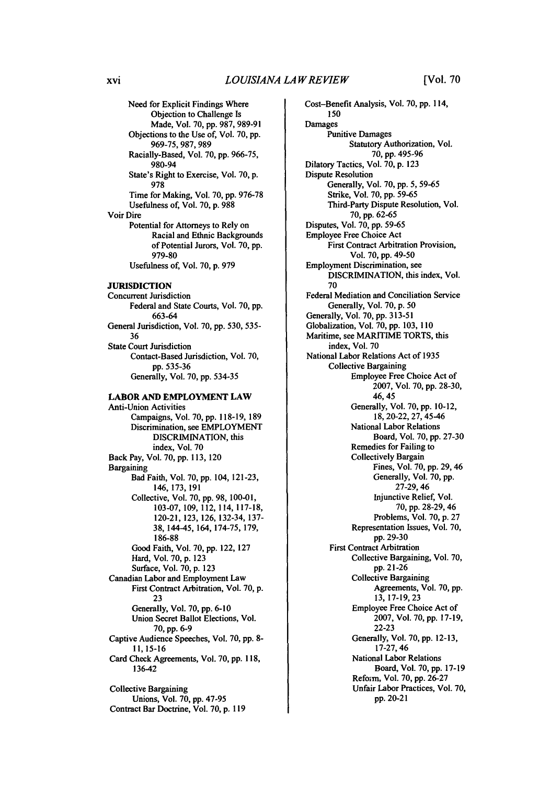Need for Explicit Findings Where Objection to Challenge Is Made, Vol. **70, pp. 987, 989-91** Objections to the Use of, Vol. **70, pp. 969-75, 987, 989** Racially-Based, Vol. **70, pp. 966-75,** 980-94 State's Right to Exercise, Vol. 70, p. 978 Time for Making, Vol. 70, pp. 976-78 Usefulness of, Vol. 70, p. 988 Voir Dire Potential for Attorneys to Rely on Racial and Ethnic Backgrounds of Potential Jurors, Vol. 70, pp. 979-80 Usefulness of, Vol. 70, p. 979 **JURISDICTION** Concurrent Jurisdiction Federal and State Courts, Vol. **70, pp. 663-64** General Jurisdiction, Vol. **70, pp. 530, 535- 36** State Court Jurisdiction Contact-Based Jurisdiction, Vol. **70, pp. 535-36** Generally, Vol. **70, pp.** 534-35 **LABOR AND EMPLOYMENT LAW** Anti-Union Activities Campaigns, Vol. **70, pp. 118-19, 189** Discrimination, see EMPLOYMENT DISCRIMINATION, this

index, Vol. 70 Back Pay, Vol. 70, pp. 113, 120 Bargaining Bad Faith, Vol. 70, pp. 104, 121-23, 146, 173, 191 Collective, Vol. 70, pp. 98, 100-01, 103-07, 109, 112, 114, 117-18, 120-21, 123, 126, 132-34, 137- 38, 144-45, 164, 174-75, 179, **186-88** Good Faith, Vol. 70, pp. 122, 127 Hard, Vol. 70, p. 123 Surface, Vol. 70, p. **123** Canadian Labor and Employment Law First Contract Arbitration, Vol. 70, p. 23 Generally, Vol. 70, pp. 6-10 Union Secret Ballot Elections, Vol. 70, pp. 6-9 Captive Audience Speeches, Vol. 70, pp. 8- 11, 15-16 Card Check Agreements, Vol. 70, pp. 118, 136-42

Collective Bargaining Unions, Vol. 70, **pp.** 47-95 Contract Bar Doctrine, Vol. 70, p. 119 Cost-Benefit Analysis, Vol. 70, **pp.** 114, **150** Damages Punitive Damages Statutory Authorization, Vol. **70, pp. 495-96** Dilatory Tactics, Vol. **70, p. 123** Dispute Resolution Generally, Vol. **70, pp.** 5, 59-65 Strike, Vol. 70, pp. 59-65 Third-Party Dispute Resolution, Vol. 70, pp. 62-65 Disputes, Vol. 70, pp. 59-65 Employee Free Choice Act First Contract Arbitration Provision, Vol. 70, pp. 49-50 Employment Discrimination, see DISCRIMINATION, this index, Vol. 70 Federal Mediation and Conciliation Service Generally, Vol. 70, p. 50 Generally, Vol. 70, pp. 313-51 Globalization, Vol. 70, pp. 103, **110** Maritime, see MARITIME TORTS, this index, Vol. 70 National Labor Relations Act of 1935 Collective Bargaining Employee Free Choice Act of 2007, Vol. 70, pp. 28-30, 46, 45 Generally, Vol. 70, pp. 10-12, 18, 20-22, 27, 45-46 National Labor Relations Board, Vol. 70, pp. 27-30 Remedies for Failing to Collectively Bargain Fines, Vol. 70, pp. 29, 46 Generally, Vol. 70, pp. 27-29,46 Injunctive Relief, Vol. 70, pp. 28-29, 46 Problems, Vol. 70, p. 27 Representation Issues, Vol. 70, pp. 29-30 First Contract Arbitration Collective Bargaining, Vol. 70, pp. 21-26 Collective Bargaining Agreements, Vol. 70, pp. 13, 17-19, 23 Employee Free Choice Act of 2007, Vol. 70, pp. 17-19, 22-23 Generally, Vol. 70, pp. 12-13, 17-27,46 National Labor Relations Board, Vol. 70, pp. 17-19 Refom, Vol. 70, pp. 26-27 Unfair Labor Practices, Vol. 70, pp. 20-21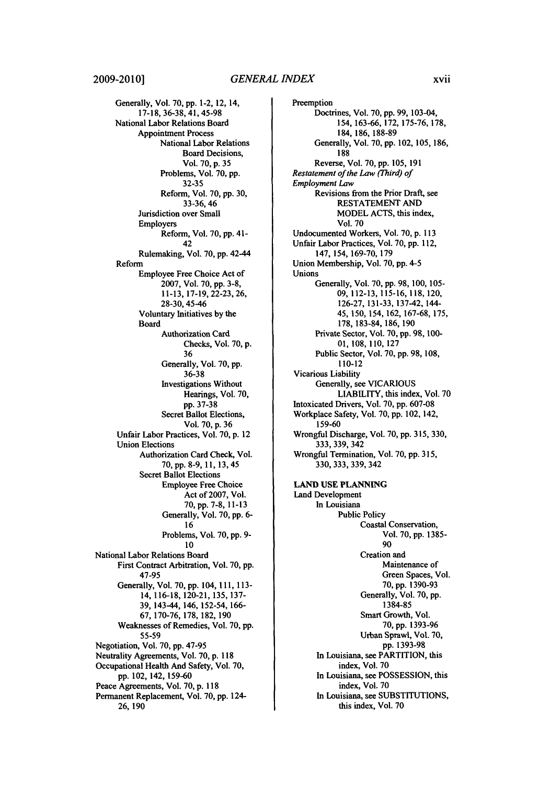Generally, Vol. **70,** pp. 1-2, 12, 14, 17-18, 36-38, 41, 45-98 National Labor Relations Board Appointment Process National Labor Relations Board Decisions, Vol. 70, p. 35 Problems, Vol. 70, pp. 32-35 Reform, Vol. 70, pp. 30, 33-36,46 Jurisdiction over Small Employers Reform, Vol. 70, pp. 41- 42 Rulemaking, Vol. 70, pp. 42-4 <sup>4</sup> Reform Employee Free Choice Act of 2007, Vol. 70, pp. 3-8, 11-13, 17-19, 22-23, 26, 28-30, 45-46 Voluntary Initiatives by the Board Authorization Card Checks, Vol. 70, **p.** 36 Generally, Vol. 70, pp. 36-38 Investigations Without Hearings, Vol. 70, pp. 37-38 Secret Ballot Elections, Vol. 70, p. 36 Unfair Labor Practices, Vol. 70, p. 12 Union Elections Authorization Card Check, Vol. **70,** pp. 8-9, **11, 13,** 45 Secret Ballot Elections Employee Free Choice Act of 2007, Vol. 70, pp. 7-8, 11-13 Generally, Vol. 70, pp. 6- 16 Problems, Vol. 70, pp. 9- 10 National Labor Relations Board First Contract Arbitration, Vol. 70, pp. **47-95** Generally, Vol. **70, pp.** 104,111, **113-** 14, 116-18, 120-21, 135, **137- 39,** 143-44, 146, 152-54, 166- **67, 170-76, 178,** 182, **190** Weaknesses of Remedies, Vol. **70,** pp. 55-59 Negotiation, Vol. 70, pp. 47-95 Neutrality Agreements, Vol. 70, p. 118 Occupational Health And Safety, Vol. 70, pp. 102, 142, 159-60 Peace Agreements, Vol. 70, p. 118 Permanent Replacement, Vol. 70, pp. 124- 26, 190

Preemption Doctrines, Vol. 70, **pp.** 99, 103-04, 154, 163-66, 172, 175-76, 178, 184, 186, 188-89 Generally, Vol. 70, pp. 102, 105, 186, 188 Reverse, Vol. 70, pp. 105, 191 *Restatement of the Law (Third) of Employment Law* Revisions from the Prior Draft, see RESTATEMENT AND MODEL ACTS, this index, Vol. 70 Undocumented Workers, Vol. 70, p. 113 Unfair Labor Practices, Vol. 70, pp. 112, 147, 154, 169-70, 179 Union Membership, Vol. **70, pp.** 4-5 Unions Generally, Vol. **70, pp. 98, 100,** 105- **09,** 112-13, 115-16, 118, 120, 126-27, 131-33, 137-42, 144- 45, 150, 154, 162, 167-68, 175, 178, 183-84, 186, **190** Private Sector, Vol. 70, **pp.** 98, 100- 01,108, 110, 127 Public Sector, Vol. 70, pp. 98, 108, 110-12 Vicarious Liability Generally, see VICARIOUS LIABILITY, this index, Vol. 70 Intoxicated Drivers, Vol. 70, pp. 607-08 Workplace Safety, Vol. 70, pp. 102, 142, **159-60** Wrongful Discharge, Vol. 70, pp. 315, 330, 333,339, 342 Wrongful Termination, Vol. 70, pp. 315, 330, 333, 339, 342 **LAND USE PLANNING** Land Development In Louisiana Public Policy Coastal Conservation, Vol. 70, pp. 1385- 90 Creation and Maintenance of Green Spaces, Vol. 70, pp. 1390-93 Generally, Vol. 70, pp. **1384-85** Smart Growth, Vol. **70,** pp. 1393-96 Urban Sprawl, Vol. 70, pp. 1393-98 In Louisiana, see PARTITION, this index, Vol. 70 In Louisiana, see POSSESSION, this index, Vol. **70**

In Louisiana, see SUBSTITUTIONS, this index, Vol. 70

xvii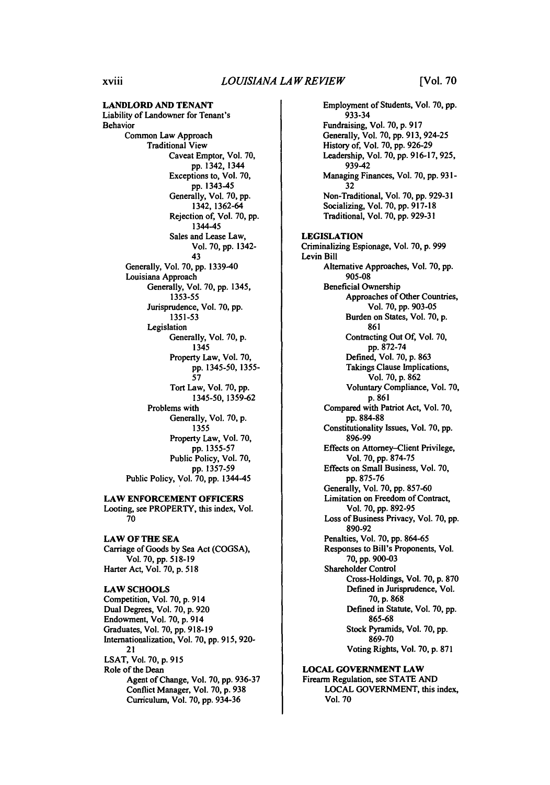**LANDLORD AND TENANT** Liability of Landowner for Tenant's **Behavior** Common Law Approach Traditional View Caveat Emptor, Vol. **70,** pp. 1342, 1344 Exceptions to, Vol. **70, pp.** 1343-45 Generally, Vol. **70,** pp. 1342, 1362-64 Rejection of, Vol. **70, pp.** 1344-45 Sales and Lease Law, Vol. 70, pp. 1342- **43** Generally, Vol. **70,** pp. 1339-40 Louisiana Approach Generally, Vol. 70, pp. 1345, 1353-55 Jurisprudence, Vol. **70, pp.** 1351-53 Legislation Generally, Vol. **70,** p. 1345 Property Law, Vol. **70, pp.** 1345-50, 1355- **57** Tort Law, Vol. **70, pp.** 1345-50, 1359-62 Problems with Generally, Vol. **70,** p. 1355 Property Law, Vol. **70,** pp. 1355-57 Public Policy, Vol. 70, pp. 1357-59 Public Policy, Vol. 70, pp. 1344-45 **LAW ENFORCEMENT OFFICERS** Looting, see PROPERTY, this index, Vol. **70 LAW OF THE SEA** Carriage of Goods **by** Sea Act **(COGSA),**

Vol. **70, pp. 518-19** Harter Act, Vol. **70, p. 518**

**LAW SCHOOLS** Competition, Vol. **70, p.** 914 Dual Degrees, Vol. **70, p. 920** Endowment, Vol. **70, p.** <sup>9</sup> <sup>14</sup> Graduates, Vol. **70, pp. <sup>9</sup> <sup>18</sup> - 19** Internationalization, Vol. **70, pp. 915, 920-** 21 **LSAT,** Vol. **70, p. 915** Role of the Dean Agent of Change, Vol. **70, pp.** 936-37 Conflict Manager, Vol. **70, p. 938** Curriculum, Vol. **70, pp.** 934-36

Employment of Students, Vol. **70, pp.** 933-34 Fundraising, Vol. **70, p. 917** Generally, Vol. **70, pp. 913, 924-25** History of, Vol. **70, pp. 926-29** Leadership, Vol. **70, pp. 916-17, 925,** 939-42 Managing Finances, Vol. **70, pp. 931- 32** Non-Traditional, Vol. **70, pp. 929-31** Socializing, Vol. **70, pp. 917-18** Traditional, Vol. **70, pp. 929-31 LEGISLATION** Criminalizing Espionage, Vol. **70, p. 999** Levin Bill Alternative Approaches, Vol. **70,** pp. 905-08 Beneficial Ownership Approaches of Other Countries, Vol. **70, pp. 903-05** Burden on States, Vol. 70, p. 861 Contracting Out Of, Vol. 70, pp. 872-74 Defined, Vol. 70, p. 863 Takings Clause Implications, Vol. 70, p. 862 Voluntary Compliance, Vol. 70, p. 861 Compared with Patriot Act, Vol. 70, pp. 884-88 Constitutionality Issues, Vol. 70, pp. 896-99 Effects on Attorney-Client Privilege, Vol. 70, pp. 874-75 Effects on Small Business, Vol. 70, pp. 875-76 Generally, Vol. 70, pp. 857-60 Limitation on Freedom of Contract, Vol. 70, pp. **892-95** Loss of Business Privacy, Vol. 70, pp. 890-92 Penalties, Vol. 70, pp. 864-65 Responses to Bill's Proponents, Vol. 70, pp. 900-03 Shareholder Control Cross-Holdings, Vol. 70, p. 870 Defined in Jurisprudence, Vol. **70, p. 868** Defined in Statute, Vol. **70, pp. 865-68** Stock Pyramids, Vol. **70, pp.** 869-70 Voting Rights, Vol. **70, p. 871 LOCAL GOVERNMENT LAW**

Firearm Regulation, see STATE **AND** LOCAL GOVERNMENT, this index, Vol. 70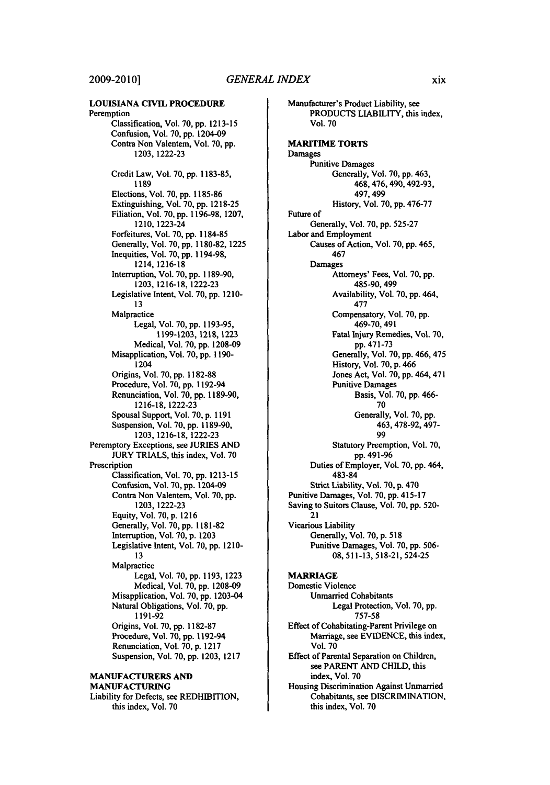#### **LOUISIANA CIVIL PROCEDURE** Peremption Classification, Vol. **70, pp. 1213-15** Confusion, Vol. **70, pp.** 1204-09 Contra Non Valentem, Vol. **70, pp. 1203, 1222-23** Credit Law, Vol. **70, pp. 1183-85,** 1189 Elections, Vol. **70, pp. 1185-86** Extinguishing, Vol. **70, pp. 1218-25** Filiation, Vol. **70, pp. 1196-98, 1207,** 1210, 1223-24 Forfeitures, Vol. **70, pp. 1184-85** Generally, Vol. **70, pp. 1180-82, 1225** Inequities, Vol. **70, pp.** 1194-98, 1214, 1216-18 Interruption, Vol. **70, pp. 1189-90, 1203, 1216-18, 1222-23** Legislative Intent, Vol. **70, pp.** 1210- **13** Malpractice Legal, Vol. **70, pp. 1193-95, 1199-1203, 1218, 1223** Medical, Vol. **70, pp. 1208-09** Misapplication, Vol. **70, pp. 1190-** 1204 Origins, Vol. **70, pp. 1182-88** Procedure, Vol. **70, pp.** 1192-94 Renunciation, Vol. **70, pp. 1189-90, 1216-18, 1222-23** Spousal Support, Vol. **70, p. 1191** Suspension, Vol. **70, pp. 1189-90, 1203, 1216-18, 1222-23** Peremptory Exceptions, see JURIES AND JURY TRIALS, this index, Vol. 70 Prescription Classification, Vol. 70, pp. 1213-15 Confusion, Vol. 70, **pp.** 1204-09 Contra Non Valentem, Vol. 70, pp. 1203, 1222-23 Equity, Vol. 70, p. 1216 Generally, Vol. 70, pp. 1181-82 Interruption, Vol. 70, p. 1203 Legislative Intent, Vol. 70, pp. 1210- 13 Malpractice Legal, Vol. **70, pp. 1193, 1223** Medical, Vol. **70, pp. 1208-09** Misapplication, Vol. **70, pp.** 1203-04 Natural Obligations, Vol. **70, pp, 1191-92** Origins, Vol. **70, pp. 1182-87** Procedure, Vol. **70, pp.** 1192-94 Renunciation, Vol. 70, p. 1217 Suspension, Vol. 70, pp. 1203, 1217 **MANUFACTURERS AND MANUFACTURING** Liability for Defects, see REDHIBITION, this index, Vol. 70

Manufacturer's Product Liability, see **PRODUCTS** LIABILITY, this index, Vol. 70 **MARITIME** TORTS Damages Punitive Damages Generally, Vol. 70, pp. 463, 468,476,490,492-93, 497, 499 History, Vol. 70, **pp.** 476-77 Future of Generally, Vol. **70, pp. 525-27** Labor and Employment Causes of Action, Vol. **70, pp.** 465, 467 Damages Attorneys' Fees, Vol. **70, pp.** 485-90, 499 Availability, Vol. **70, pp.** 464, **477** Compensatory, Vol. **70, pp.** 469-70, 491 Fatal Injury Remedies, Vol. **70,** pp. 471-73 Generally, Vol. 70, pp. 466, 475 History, Vol. 70, p. 466 Jones Act, Vol. 70, pp. 464,471 Punitive Damages Basis, Vol. **70, pp.** 466- **70** Generally, Vol. **70, pp. 463,478-92,** 497- **99** Statutory Preemption, Vol. **70, pp.** 491-96 Duties of Employer, Vol. **70, pp.** 464, 483-84 Strict Liability, Vol. 70, p. 470 Punitive Damages, Vol. 70, pp. 415-17 Saving to Suitors Clause, Vol. 70, pp. 520- 21 Vicarious Liability Generally, Vol. 70, p. 518 Punitive Damages, Vol. 70, pp. 506- 08, 511-13, 518-21, 524-25 **MARRIAGE** Domestic Violence Unmarried Cohabitants Legal Protection, Vol. 70, pp. 757-58 Effect of Cohabitating-Parent Privilege on Marriage, see **EVIDENCE,** this index, Vol. **70** Effect of Parental Separation on Children, see PARENT **AND CHILD,** this index, Vol. **70**

Housing Discrimination Against Unmarried Cohabitants, see **DISCRIMINATION,** this index, Vol. **70**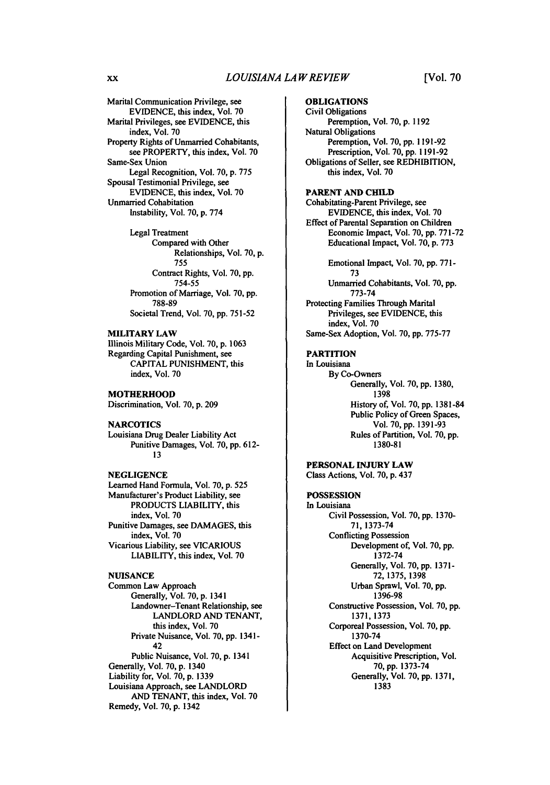Marital Communication Privilege, see EVIDENCE, this index, Vol. **70** Marital Privileges, see EVIDENCE, this index, Vol. 70 Property Rights of Unmarried Cohabitants, see PROPERTY, this index, Vol. **70** Same-Sex Union Legal Recognition, Vol. **70,** p. **775** Spousal Testimonial Privilege, see **EVIDENCE,** this index, Vol. **70** Unmarried Cohabitation Instability, Vol. **70, p. 774** Legal Treatment

Compared with Other Relationships, Vol. **70, p. 755** Contract Rights, Vol. **70, pp. 754-55** Promotion of Marriage, Vol. **70, pp. 788-89** Societal Trend, Vol. **70, pp. 751-52**

#### **MILITARY LAW**

Illinois Military Code, Vol. **70, p. 1063** Regarding Capital Punishment, see **CAPITAL PUNISHMENT,** this index, Vol. **70**

**MOTHERHOOD** Discrimination, Vol. **70, p. 209**

#### **NARCOTICS**

Louisiana Drug Dealer Liability Act Punitive Damages, Vol. **70, pp. 612- 13**

#### **NEGLIGENCE**

Learned Hand Formula, Vol. **70, p. 525** Manufacturer's Product Liability, see **PRODUCTS** LIABILITY, this index, Vol. **70** Punitive Damages, see **DAMAGES,** this index, Vol. **70** Vicarious Liability, see **VICARIOUS** LIABILITY, this index, Vol. **70**

#### **NUISANCE**

Common Law Approach Generally, Vol. **70, p.** 1341 Landowner-Tenant Relationship, see LANDLORD **AND TENANT,** this index, Vol. **70** Private Nuisance, Vol. 70, pp. 1341- 42 Public Nuisance, Vol. **70,** p. 1341 Generally, Vol. **70,** p. 1340 Liability for, Vol. **70,** p. **1339** Louisiana Approach, see LANDLORD **AND TENANT,** this index, Vol. **70** Remedy, Vol. **70, p.** 1342

#### **OBLIGATIONS**

Civil Obligations Peremption, Vol. **70, p. 1192** Natural Obligations Peremption, Vol. **70, pp. 1191-92** Prescription, Vol. **70, pp. 1191-92** Obligations of Seller, see REDHIBITION, this index, Vol. **70**

#### **PARENT AND CHILD**

Cohabitating-Parent Privilege, see EVIDENCE, this index, Vol. **70** Effect of Parental Separation on Children Economic Impact, Vol. 70, pp. **771-72** Educational Impact, Vol. **70,** p. **773**

Emotional Impact, Vol. **70,** pp. **771- 73** Unmarried Cohabitants, Vol. **70,** pp. **773-74** Protecting Families Through Marital Privileges, see **EVIDENCE,** this index, Vol. 70 Same-Sex Adoption, Vol. **70,** pp. **775-77**

#### **PARTITION**

In Louisiana **By** Co-Owners Generally, Vol. **70, pp. 1380, 1398** History of, Vol. **70, pp. 1381-84** Public Policy of Green Spaces, Vol. **70, pp. 1391-93** Rules of Partition, Vol. **70, pp. 1380-81**

**PERSONAL INJURY LAW Class Actions, Vol. 70, p.** 437

**POSSESSION In Louisiana** Civil Possession, Vol. **70, pp. 1370- 71, 1373-74** Conflicting Possession Development of, Vol. **70, pp. 1372-74** Generally, Vol. **70, pp. 1371- 72, 1375, 1398** Urban Sprawl, Vol. **70, pp. 1396-98** Constructive Possession, Vol. **70, pp. 1371, 1373** Corporeal Possession, Vol. **70, pp. 1370-74** Effect on Land Development Acquisitive Prescription, Vol. **70, pp. 1373-74** Generally, Vol. **70, pp. 1371, 1383**

**XX**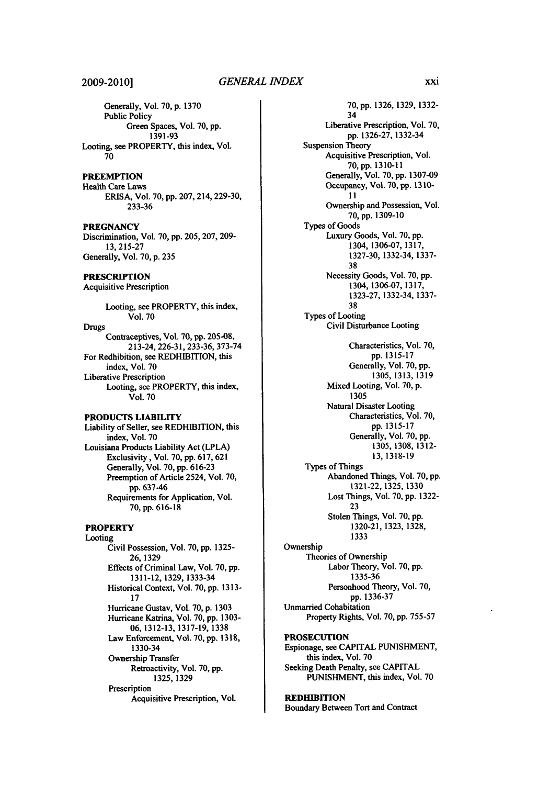#### **2009-2010]**

Generally, Vol. **70, p. 1370** Public Policy Green Spaces, Vol. **70, pp. 1391-93** Looting, see PROPERTY, this index, Vol. **70**

#### **PREEMPTION**

Health Care Laws ERISA, Vol. **70, pp. 207,214, 229-30, 233-36**

**PREGNANCY** Discrimination, Vol. **70, pp. 205, 207, 209- 13, 215-27** Generally, Vol. **70, p. 235**

**PRESCRIPTION**

Acquisitive Prescription

Looting, see PROPERTY, this index, Vol. **70**

Drugs Contraceptives, Vol. **70, pp.** 205-08, 213-24, 226-31, **233-36, 373-74** For Redhibition, see REDHIBITION, this index, Vol. **70** Liberative Prescription Looting, see PROPERTY, this index, Vol. **70**

#### **PRODUCTS LIABILITY**

Liability of Seller, see **REDHIBITION, this** index, Vol. **70** Louisiana Products Liability Act (LPLA) Exclusivity, Vol. **70, pp. 617, 621** Generally, Vol. **70, pp. 616-23** Preemption of Article 2524, Vol. **70, pp. 637-46** Requirements for Application, Vol. **70, pp. <sup>6</sup> <sup>16</sup> - <sup>18</sup>**

### **PROPERTY**

Looting Civil Possession, Vol. **70, pp. 1325- 26, 1329** Effects of Criminal Law, Vol. **70, pp. 1311-12, 1329, 1333-34** Historical Context, Vol. **70, pp. 1313- 17** Hurricane Gustav, Vol. **70, p. 1303** Hurricane Katrina, Vol. **70, pp. 1303- 06, 1312-13, 1317-19, 1338** Law Enforcement, Vol. **70, pp. 1318,** 1330-34 Ownership Transfer Retroactivity, Vol. **70, pp. 1325, 1329 Prescription** Acquisitive Prescription, Vol.

**70,pp.** 1326, **1329, 1332-** 34 Liberative Prescription, Vol. **70, pp. 1326-27,** 1332-34 Suspension Theory Acquisitive Prescription, Vol. **70, pp. 1310-11** Generally, Vol. **70, pp. 1307-09** Occupancy, Vol. **70, pp. 13 10- 11** Ownership and Possession, Vol. **70, pp. 1309-10** Types of Goods Luxury Goods, Vol. **70, pp.** 1304, **1306-07, 1317, 1327-30,** 1332-34, **1337- 38** Necessity Goods, Vol. **70, pp. 1304, 1306-07, 1317, 1323-27,** 1332-34, **1337- 38** Types of Looting Civil Disturbance Looting Characteristics, Vol. **70, pp. 1315-17** Generally, Vol. **70, pp. 1305, 1313, 1319** Mixed Looting, Vol. **70, p. 1305** Natural Disaster Looting Characteristics, Vol. **70, pp. 1315-17** Generally, Vol. **70, pp. 1305, 1308, 1312- 13,1318-19** Types of Things Abandoned Things, Vol. **70, pp. 1321-22, 1325, 1330** Lost Things, Vol. **70, pp. 1322- 23** Stolen Things, Vol. **70, pp. 1320-21, 1323, 1328, 1333** Ownership Theories of Ownership Labor Theory, Vol. **70, pp. 1335-36** Personhood Theory, Vol. **70, pp. 1336-37** Unmarried Cohabitation Property Rights, Vol. 70, pp. **755-57 PROSECUTION** Espionage, see **CAPITAL PUNISHMENT,** this index, Vol. **70** Seeking Death Penalty, see **CAPITAL PUNISHMENT,** this index, Vol. **70**

#### **REDHIBITION**

Boundary Between Tort and Contract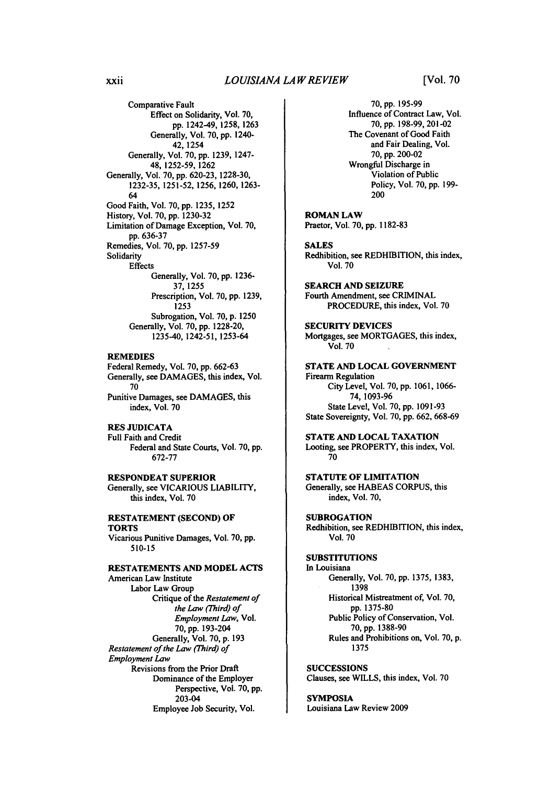Comparative Fault Effect on Solidarity, Vol. **70, pp.** 1242-49, **1258,** 1263 Generally, Vol. 70, pp. 1240- 42, 1254 Generally, Vol. **70,** pp. 1239, 1247- 48, 1252-59, 1262 Generally, Vol. 70, pp. 620-23, 1228-30, 1232-35, 1251-52, 1256, 1260, 1263- 64 Good Faith, Vol. 70, pp. 1235, 1252 History, Vol. 70, pp. 1230-32 Limitation of Damage Exception, Vol. **70,** pp. 636-37 Remedies, Vol. 70, pp. 1257-59 Solidarity **Effects** Generally, Vol. **70,** pp. **1236- 37,** 1255 Prescription, Vol. **70,** pp. **1239, 1253** Subrogation, Vol. **70,** p. **1250** Generally, Vol. **70,** pp. 1228-20,

**REMEDIES** Federal Remedy, Vol. **70, pp.** 662-63 Generally, see **DAMAGES,** this index, Vol. **70** Punitive Damages, see **DAMAGES,** this

1235-40, 1242-51, 1253-64

index, Vol. **70**

#### **RES JUDICATA**

Full Faith and Credit Federal and State Courts, Vol. **70, pp. 672-77**

**RESPONDEAT SUPERIOR** Generally, see **VICARIOUS** LIABILITY, this index, Vol. **70**

#### **RESTATEMENT (SECOND) OF TORTS**

Vicarious Punitive Damages, Vol. **70, pp. 510-15**

**RESTATEMENTS AND MODEL ACTS**

American Law Institute Labor Law Group Critique of the *Restatement of the Law (Third) of Employment Law,* Vol. 70, pp. 193-204 Generally, Vol. 70, p. 193 *Restatement of the Law (Third) of Employment Law* Revisions from the Prior Draft Dominance of the Employer Perspective, Vol. **70, pp.** 203-04 Employee Job Security, Vol.

**70,** pp. 195-99 Influence of Contract Law, Vol. **70, pp. 198-99,** 201-02 The Covenant of Good Faith and Fair Dealing, Vol. **70,** pp. 200-02 Wrongful Discharge in Violation of Public Policy, Vol. 70, pp. **199-** 200

ROMAN LAW Practor, Vol. **70,** pp. **1182-83**

**SALES** Redhibition, see REDHIBITION, this index, Vol. **70**

SEARCH **AND SEIZURE** Fourth Amendment, see CRIMINAL PROCEDURE, this index, Vol. 70

**SECURITY DEVICES** Mortgages, see **MORTGAGES,** this index, Vol. 70

**STATE AND LOCAL GOVERNMENT** Firearm Regulation City Level, Vol. **70, pp. 1061, 1066- 74, 1093-96** State Level, Vol. **70, pp. 1091-93** State Sovereignty, Vol. **70, pp. 662, 668-69**

**STATE AND LOCAL TAXATION** Looting, see PROPERTY, this index, Vol. **70**

**STATUTE** OF **LIMITATION** Generally, see HABEAS **CORPUS,** this index, Vol. 70,

**SUBROGATION** Redhibition, see REDHIBITION, this index, Vol. **70**

#### **SUBSTITUTIONS**

In Louisiana Generally, Vol. **70, pp. 1375, 1383, 1398** Historical Mistreatment of, Vol. 70, pp. **1375-80** Public Policy of Conservation, Vol. 70, pp. **1388-90** Rules and Prohibitions on, Vol. **70,** p. **1375**

**SUCCESSIONS** Clauses, see WILLS, this index, Vol. **70**

#### SYMPOSIA

Louisiana Law Review 2009

xxii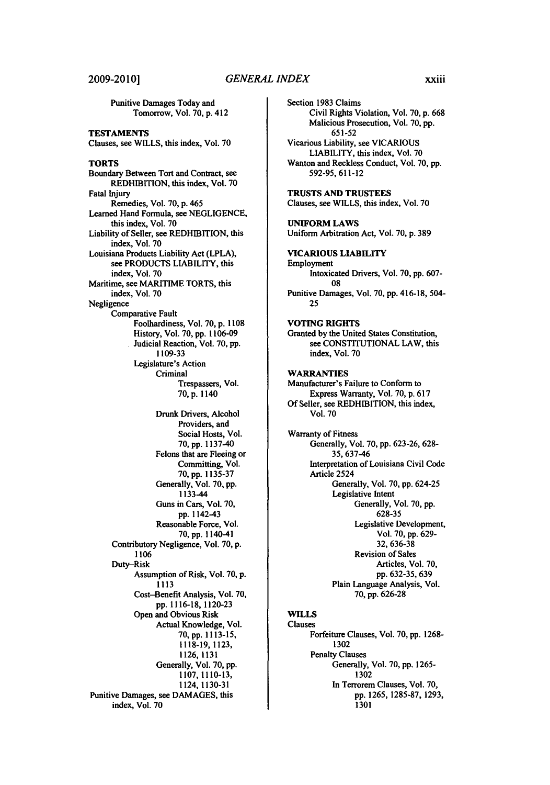Punitive Damages Today and Tomorrow, Vol. **70, p.** <sup>4</sup> <sup>12</sup> **TESTAMENTS** Clauses, see WILLS, this index, Vol. **70** TORTS Boundary Between Tort and Contract, see REDHIBITION, this index, Vol. **70** Fatal Injury Remedies, Vol. **70, p.** 465 Learned Hand Formula, see **NEGLIGENCE,** this index, Vol. **70** Liability of Seller, see REDHIBITION, this index, Vol. **70** Louisiana Products Liability Act (LPLA), see **PRODUCTS** LIABILITY, this index, Vol. **70** Maritime, see MARITIME TORTS, this index, Vol. **70** Negligence Comparative Fault Foolhardiness, Vol. **70, p. 1108** History, Vol. **70, pp. 1106-09** Judicial Reaction, Vol. **70, pp. 1109-33** Legislature's Action Criminal Trespassers, Vol. **70,** p. 1140 Drunk Drivers, Alcohol Providers, and Social Hosts, Vol. **70, pp.** 1137-40 Felons that are Fleeing or Committing, Vol. **70, pp. 1135-37** Generally, Vol. **70, pp.** 1133-44 Guns in Cars, Vol. **70,** pp. 1142-43 Reasonable Force, Vol. **<sup>7</sup> <sup>0</sup> ,** pp. 1140-41 Contributory Negligence, Vol. **70,** p. **1106** Duty-Risk Assumption of Risk, Vol. **70,** p. **1113** Cost-Benefit Analysis, Vol. **70,** pp. 1116-18, **1120-23** Open and Obvious Risk Actual Knowledge, Vol. **70, pp. 1113-15, 1118-19, 1123, 1126, 1131** Generally, Vol. **70, pp. 1107, 1110-13,** 1124,1130-31 Punitive Damages, see **DAMAGES,** this

index, Vol. **70**

Section **1983** Claims Civil Rights Violation, Vol. **70, p. 668** Malicious Prosecution, Vol. 70, pp. 65 1-52 Vicarious Liability, see VICARIOUS LIABILITY, this index, Vol. 70 Wanton and Reckless Conduct, Vol. 70, pp. 592-95,611-12 **TRUSTS AND TRUSTEES** Clauses, see WILLS, this index, Vol. **70 UNIFORM** LAWS Uniform Arbitration Act, Vol. **70, p. 389 VICARIOUS LIABILITY** Employment Intoxicated Drivers, Vol. **70, pp. 607- 08** Punitive Damages, Vol. **70, pp.** 416-18, 504- **25 VOTING RIGHTS** Granted **by** the United States Constitution, see **CONSTITUTIONAL** LAW, this index, Vol. **70** WARRANTIES Manufacturer's Failure to Conform to Express Warranty, Vol. **70, p. 617 Of** Seller, see REDHIBITION, this index, Vol. **70** Warranty of Fitness Generally, Vol. **70,** pp. 623-26, 628- **35,** 637-46 Interpretation of Louisiana Civil Code Article 2524 Generally, Vol. **70,** pp. 624-25 Legislative Intent Generally, Vol. **70,** pp. **628-35** Legislative Development, Vol. **70, pp. 629-** 32, 636-38 Revision of Sales Articles, Vol. 70, pp. 632-35, 639 Plain Language Analysis, Vol. 70, pp. 626-28 **WILLS** Clauses Forfeiture Clauses, Vol. 70, pp. 1268- 1302

Penalty Clauses Generally, Vol. 70, pp. 1265- 1302 In Terrorem Clauses, Vol. 70, pp. 1265, 1285-87, 1293, 1301